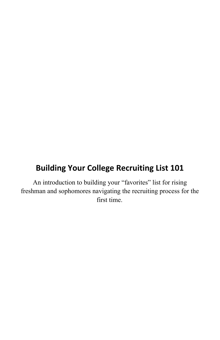# **Building Your College Recruiting List 101**

An introduction to building your "favorites" list for rising freshman and sophomores navigating the recruiting process for the first time.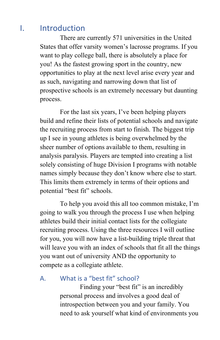## I. Introduction

There are currently 571 universities in the United States that offer varsity women's lacrosse programs. If you want to play college ball, there is absolutely a place for you! As the fastest growing sport in the country, new opportunities to play at the next level arise every year and as such, navigating and narrowing down that list of prospective schools is an extremely necessary but daunting process.

For the last six years, I've been helping players build and refine their lists of potential schools and navigate the recruiting process from start to finish. The biggest trip up I see in young athletes is being overwhelmed by the sheer number of options available to them, resulting in analysis paralysis. Players are tempted into creating a list solely consisting of huge Division I programs with notable names simply because they don't know where else to start. This limits them extremely in terms of their options and potential "best fit" schools.

To help you avoid this all too common mistake, I'm going to walk you through the process I use when helping athletes build their initial contact lists for the collegiate recruiting process. Using the three resources I will outline for you, you will now have a list-building triple threat that will leave you with an index of schools that fit all the things you want out of university AND the opportunity to compete as a collegiate athlete.

A. What is a "best fit" school?

Finding your "best fit" is an incredibly personal process and involves a good deal of introspection between you and your family. You need to ask yourself what kind of environments you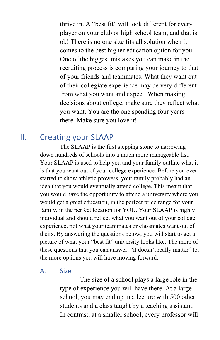thrive in. A "best fit" will look different for every player on your club or high school team, and that is ok! There is no one size fits all solution when it comes to the best higher education option for you. One of the biggest mistakes you can make in the recruiting process is comparing your journey to that of your friends and teammates. What they want out of their collegiate experience may be very different from what you want and expect. When making decisions about college, make sure they reflect what you want. You are the one spending four years there. Make sure you love it!

### II. Creating your SLAAP

The SLAAP is the first stepping stone to narrowing down hundreds of schools into a much more manageable list. Your SLAAP is used to help you and your family outline what it is that you want out of your college experience. Before you ever started to show athletic prowess, your family probably had an idea that you would eventually attend college. This meant that you would have the opportunity to attend a university where you would get a great education, in the perfect price range for your family, in the perfect location for YOU. Your SLAAP is highly individual and should reflect what you want out of your college experience, not what your teammates or classmates want out of theirs. By answering the questions below, you will start to get a picture of what your "best fit" university looks like. The more of these questions that you can answer, "it doesn't really matter" to, the more options you will have moving forward.

#### A. Size

The size of a school plays a large role in the type of experience you will have there. At a large school, you may end up in a lecture with 500 other students and a class taught by a teaching assistant. In contrast, at a smaller school, every professor will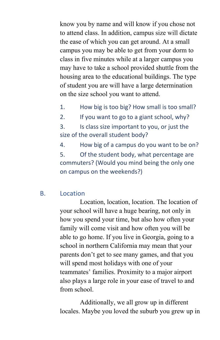know you by name and will know if you chose not to attend class. In addition, campus size will dictate the ease of which you can get around. At a small campus you may be able to get from your dorm to class in five minutes while at a larger campus you may have to take a school provided shuttle from the housing area to the educational buildings. The type of student you are will have a large determination on the size school you want to attend.

- 1. How big is too big? How small is too small?
- 2. If you want to go to a giant school, why?

3. Is class size important to you, or just the size of the overall student body?

4. How big of a campus do you want to be on? 5. Of the student body, what percentage are commuters? (Would you mind being the only one on campus on the weekends?)

#### B. Location

Location, location, location. The location of your school will have a huge bearing, not only in how you spend your time, but also how often your family will come visit and how often you will be able to go home. If you live in Georgia, going to a school in northern California may mean that your parents don't get to see many games, and that you will spend most holidays with one of your teammates' families. Proximity to a major airport also plays a large role in your ease of travel to and from school.

Additionally, we all grow up in different locales. Maybe you loved the suburb you grew up in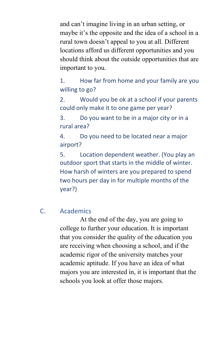and can't imagine living in an urban setting, or maybe it's the opposite and the idea of a school in a rural town doesn't appeal to you at all. Different locations afford us different opportunities and you should think about the outside opportunities that are important to you.

1. How far from home and your family are you willing to go?

2. Would you be ok at a school if your parents could only make it to one game per year?

3. Do you want to be in a major city or in a rural area?

4. Do you need to be located near a major airport?

5. Location dependent weather. (You play an outdoor sport that starts in the middle of winter. How harsh of winters are you prepared to spend two hours per day in for multiple months of the year?)

#### C. Academics

At the end of the day, you are going to college to further your education. It is important that you consider the quality of the education you are receiving when choosing a school, and if the academic rigor of the university matches your academic aptitude. If you have an idea of what majors you are interested in, it is important that the schools you look at offer those majors.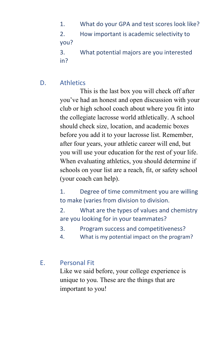1. What do your GPA and test scores look like? 2. How important is academic selectivity to you? 3. What potential majors are you interested in?

D. Athletics

This is the last box you will check off after you've had an honest and open discussion with your club or high school coach about where you fit into the collegiate lacrosse world athletically. A school should check size, location, and academic boxes before you add it to your lacrosse list. Remember, after four years, your athletic career will end, but you will use your education for the rest of your life. When evaluating athletics, you should determine if schools on your list are a reach, fit, or safety school (your coach can help).

1. Degree of time commitment you are willing to make (varies from division to division.

2. What are the types of values and chemistry are you looking for in your teammates?

- 3. Program success and competitiveness?
- 4. What is my potential impact on the program?

#### E. Personal Fit

Like we said before, your college experience is unique to you. These are the things that are important to you!